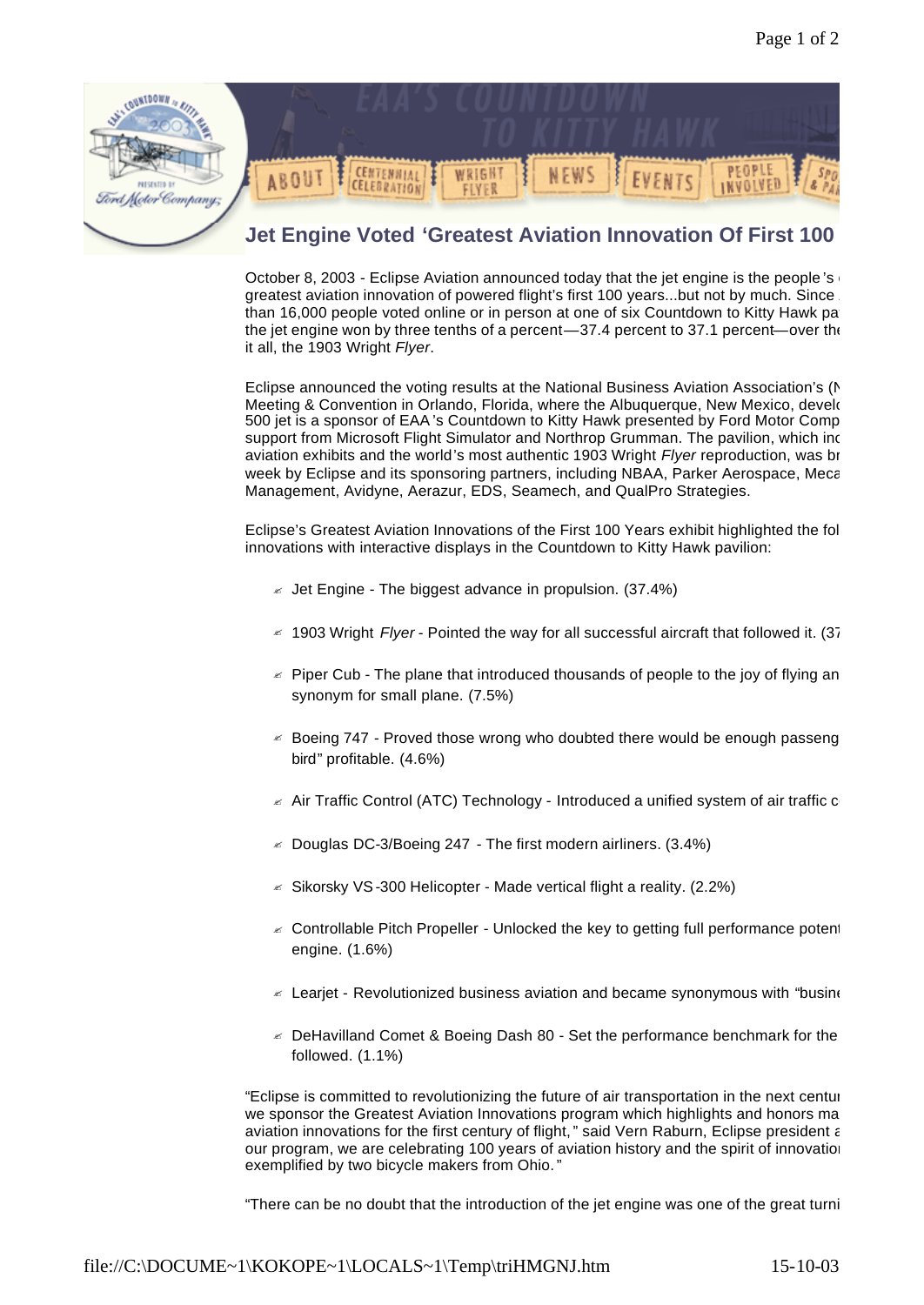

October 8, 2003 - Eclipse Aviation announced today that the jet engine is the people's greatest aviation innovation of powered flight's first 100 years...but not by much. Since than 16,000 people voted online or in person at one of six Countdown to Kitty Hawk pavil the jet engine won by three tenths of a percent—37.4 percent to 37.1 percent—over the it all, the 1903 Wright *Flyer*.

Eclipse announced the voting results at the National Business Aviation Association's (N Meeting & Convention in Orlando, Florida, where the Albuquerque, New Mexico, develoc 500 jet is a sponsor of EAA's Countdown to Kitty Hawk presented by Ford Motor Comp support from Microsoft Flight Simulator and Northrop Grumman. The pavilion, which inclu aviation exhibits and the world's most authentic 1903 Wright *Flyer* reproduction, was brow week by Eclipse and its sponsoring partners, including NBAA, Parker Aerospace, Meca Management, Avidyne, Aerazur, EDS, Seamech, and QualPro Strategies.

Eclipse's Greatest Aviation Innovations of the First 100 Years exhibit highlighted the fol innovations with interactive displays in the Countdown to Kitty Hawk pavilion:

- $\leq$  Jet Engine The biggest advance in propulsion. (37.4%)
- ? 1903 Wright *Flyer* Pointed the way for all successful aircraft that followed it. (37.1%)
- $\epsilon$  Piper Cub The plane that introduced thousands of people to the joy of flying and synonym for small plane. (7.5%)
- $\leq$  Boeing 747 Proved those wrong who doubted there would be enough passeng bird" profitable. (4.6%)
- $\le$  Air Traffic Control (ATC) Technology Introduced a unified system of air traffic c
- $\leq$  Douglas DC-3/Boeing 247 The first modern airliners. (3.4%)
- $\le$  Sikorsky VS-300 Helicopter Made vertical flight a reality. (2.2%)
- $\epsilon$  Controllable Pitch Propeller Unlocked the key to getting full performance potential engine. (1.6%)
- $\approx$  Learjet Revolutionized business aviation and became synonymous with "busine
- $\le$  DeHavilland Comet & Boeing Dash 80 Set the performance benchmark for the followed. (1.1%)

"Eclipse is committed to revolutionizing the future of air transportation in the next centur we sponsor the Greatest Aviation Innovations program which highlights and honors ma aviation innovations for the first century of flight," said Vern Raburn, Eclipse president and CEO. our program, we are celebrating 100 years of aviation history and the spirit of innovation exemplified by two bicycle makers from Ohio."

"There can be no doubt that the introduction of the jet engine was one of the great turni